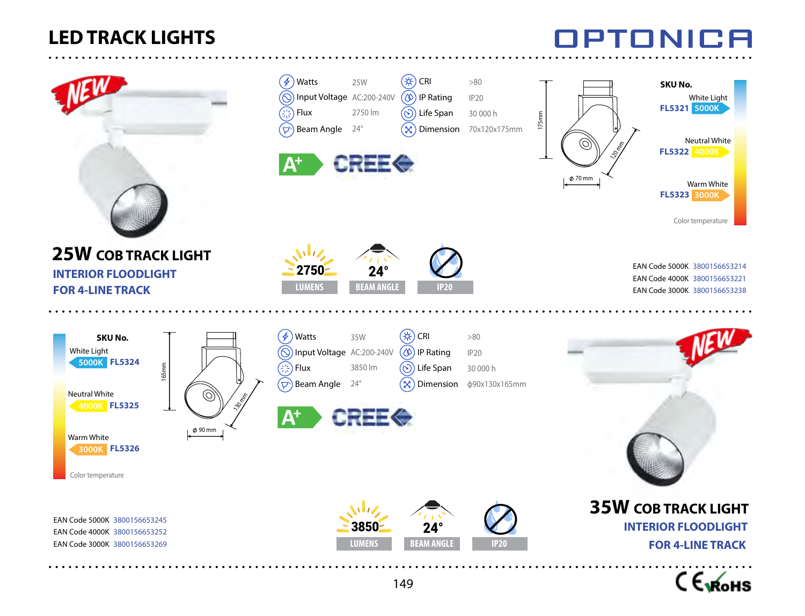

**INTERIOR FLOODLIGHT FOR 4-LINE TRACK**



**LUMENS**  $2750 - 24^{\circ}$ **BEAM ANGLE** 

Beam Angle 24°

Watts 25W

Input Voltage AC:200-240V

2750 lm

**CREE<sup>®</sup>** 

 $\binom{n}{r}$  Flux

 $\mathbf{\Lambda}^+$ 

 $\mathscr{L}$ 



**5000K FL5321**

**SKU No.**

White Light

Neutral White

Warm White

Color temperature

**4000K FL5322**

**3000K FL5323**





EAN Code 4000K 3800156653252 EAN Code 3000K 3800156653269 EAN Code 5000K 3800156653245



Dimension 70x120x175mm

>80 IP20 30 000 h

Life Span IP Rating  $\left(\frac{1}{2}C\right)$  CRI







70 mm

120 mm

175mm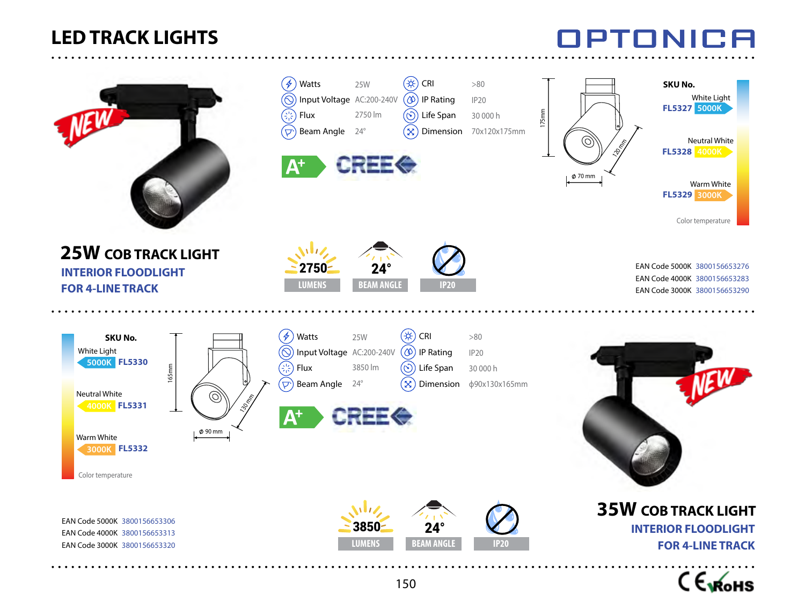

. . . . . . . . . . . . . . . . .

|                                                                                                                                                                   | $\mathscr{F}$<br>Watts<br>$(\bigcirc)$<br>ديم)<br>رقماني<br>Flux<br>$(\overline{\smash{\triangleright}})$ Beam Angle<br>${\mathsf A}^{\mathsf t}$ | 25W<br>Input Voltage AC:200-240V<br>2750 lm<br>$24^{\circ}$<br><b>CREE<sup>®</sup></b> | ′≉<br>CRI<br>$^\mathrm{(\infty)}$<br>IP Rating<br>$\circledcirc$ ) Life Span<br>$\left[ \infty \right]$ | >80<br><b>IP20</b><br>30 000 h<br>Dimension 70x120x175mm | 175mm | O,<br>$\phi$ 70 mm | SKU No.<br>White Light<br>FL5327 5000K<br><b>Neutral White</b><br>FL5328 4000K<br>Warm White<br>FL5329 3000K<br>Color temperature |
|-------------------------------------------------------------------------------------------------------------------------------------------------------------------|---------------------------------------------------------------------------------------------------------------------------------------------------|----------------------------------------------------------------------------------------|---------------------------------------------------------------------------------------------------------|----------------------------------------------------------|-------|--------------------|-----------------------------------------------------------------------------------------------------------------------------------|
| <b>25W COB TRACK LIGHT</b><br><b>INTERIOR FLOODLIGHT</b><br><b>FOR 4-LINE TRACK</b>                                                                               | 2750-<br><b>LUMENS</b>                                                                                                                            | $24^\circ$<br><b>BEAM ANGLE</b>                                                        | <b>IP20</b>                                                                                             |                                                          |       |                    | EAN Code 5000K 3800156653276<br>EAN Code 4000K 3800156653283<br>EAN Code 3000K 3800156653290                                      |
| SKU No.<br>White Light<br>5000K FL5330<br>165 <sub>mm</sub><br><b>Neutral White</b><br>4000K FL5331<br>Ø 90 mm<br>Warm White<br>3000K FL5332<br>Color temperature | $\mathcal{F}$<br>Watts<br>$\odot$<br>GR<br>GR<br>Flux<br>$(\Delta)$<br>Beam Angle 24°<br>$A^+$                                                    | 25W<br>Input Voltage AC:200-240V<br>3850 lm<br><b>CREE<sup>®</sup></b>                 | (#)<br>CRI<br>$(\infty)$<br><b>IP Rating</b><br>$(\odot)$<br>Life Span<br>$(\boxtimes)$<br>Dimension    | $>80$<br><b>IP20</b><br>30 000 h<br>φ90x130x165mm        |       |                    |                                                                                                                                   |
| EAN Code 5000K 3800156653306<br>EAN Code 4000K 3800156653313<br>EAN Code 3000K 3800156653320                                                                      |                                                                                                                                                   | 3850<br><b>LUMENS</b>                                                                  | $24^\circ$<br><b>BEAM ANGLE</b>                                                                         | <b>IP20</b>                                              |       |                    | <b>35W COB TRACK LIGHT</b><br><b>INTERIOR FLOODLIGHT</b><br><b>FOR 4-LINE TRACK</b>                                               |



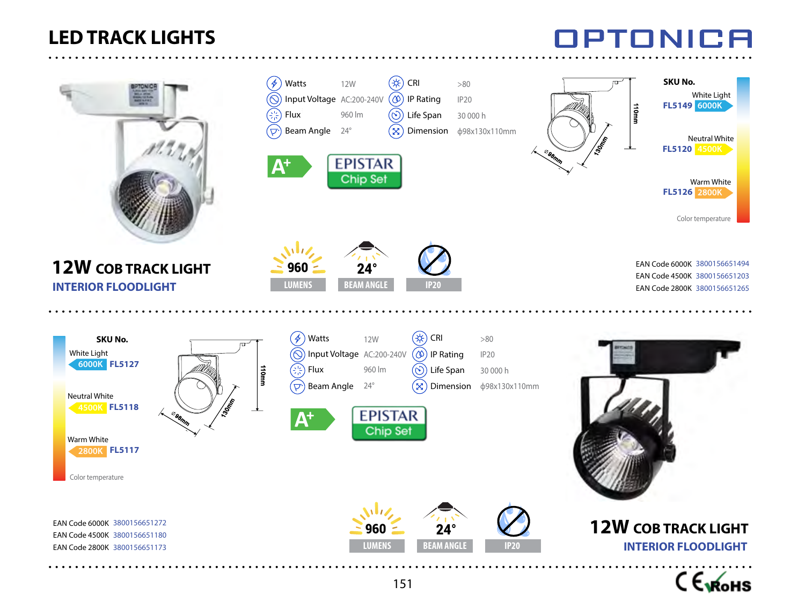# **IPTONICA**

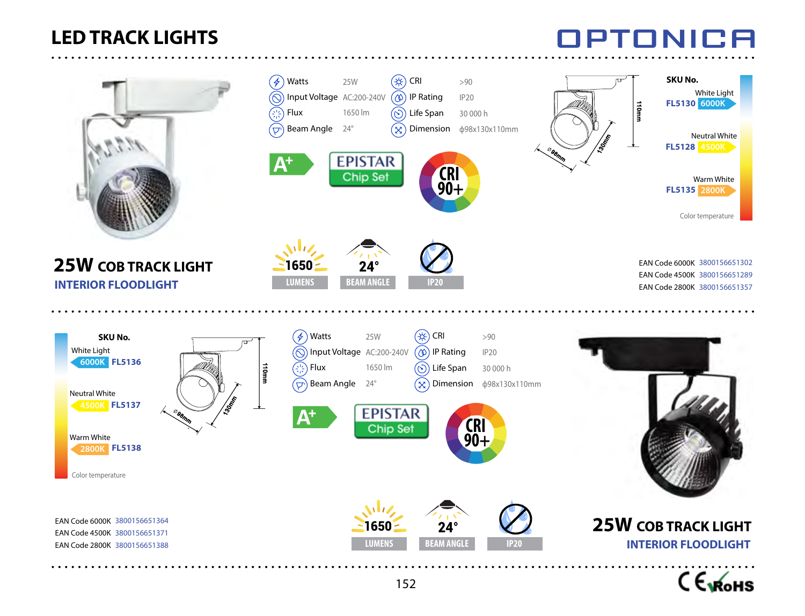



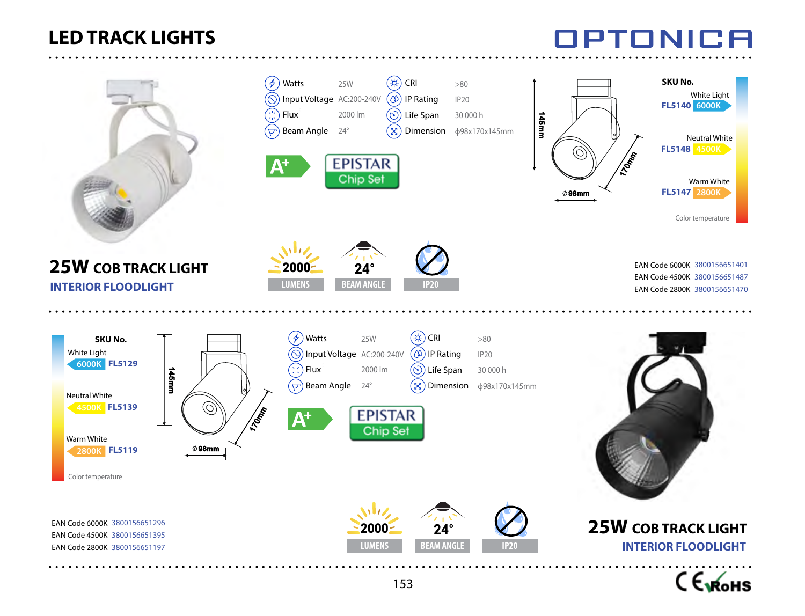**25W COB TRACK LIGHT**

**INTERIOR FLOODLIGHT**